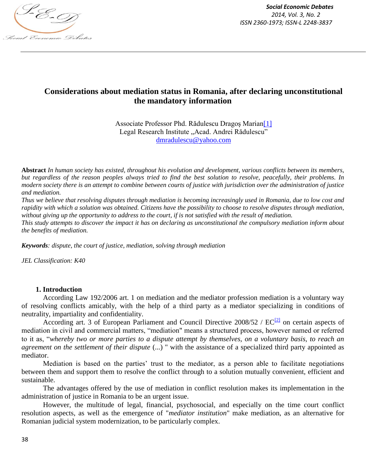

*Social Economic Debates 2014, Vol. 3, No. 2 ISSN 2360-1973; ISSN-L 2248-3837*

# **Considerations about mediation status in Romania, after declaring unconstitutional the mandatory information**

Associate Professor Phd. Rădulescu Dragoş Marian[1] Legal Research Institute "Acad. Andrei Rădulescu" dmradulescu@yahoo.com

**Abstract** *In human society has existed, throughout his evolution and development, various conflicts between its members, but regardless of the reason peoples always tried to find the best solution to resolve, peacefully, their problems. In modern society there is an attempt to combine between courts of justice with jurisdiction over the administration of justice and mediation.*

*Thus we believe that resolving disputes through mediation is becoming increasingly used in Romania, due to low cost and rapidity with which a solution was obtained. Citizens have the possibility to choose to resolve disputes through mediation, without giving up the opportunity to address to the court, if is not satisfied with the result of mediation.*

*This study attempts to discover the impact it has on declaring as unconstitutional the compulsory mediation inform about the benefits of mediation.*

*Keywords: dispute, the court of justice, mediation, solving through mediation*

*JEL Classification: K40*

### **1. Introduction**

According Law 192/2006 art. 1 on mediation and the mediator profession mediation is a voluntary way of resolving conflicts amicably, with the help of a third party as a mediator specializing in conditions of neutrality, impartiality and confidentiality.

According art. 3 of European Parliament and Council Directive 2008/52 /  $EC^{[2]}$  on certain aspects of mediation in civil and commercial matters, "mediation" means a structured process, however named or referred to it as, "*whereby two or more parties to a dispute attempt by themselves, on a voluntary basis, to reach an agreement on the settlement of their dispute* (...) " with the assistance of a specialized third party appointed as mediator.

Mediation is based on the parties' trust to the mediator, as a person able to facilitate negotiations between them and support them to resolve the conflict through to a solution mutually convenient, efficient and sustainable.

The advantages offered by the use of mediation in conflict resolution makes its implementation in the administration of justice in Romania to be an urgent issue.

However, the multitude of legal, financial, psychosocial, and especially on the time court conflict resolution aspects, as well as the emergence of "*mediator institution*" make mediation, as an alternative for Romanian judicial system modernization, to be particularly complex.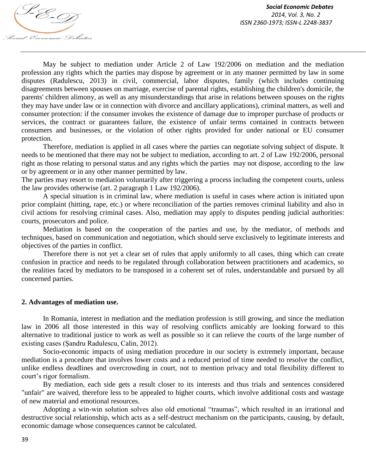S-E-T, Social Economic Debates

> May be subject to mediation under Article 2 of Law 192/2006 on mediation and the mediation profession any rights which the parties may dispose by agreement or in any manner permitted by law in some disputes (Radulescu, 2013) in civil, commercial, labor disputes, family (which includes continuing disagreements between spouses on marriage, exercise of parental rights, establishing the children's domicile, the parents' children alimony, as well as any misunderstandings that arise in relations between spouses on the rights they may have under law or in connection with divorce and ancillary applications), criminal matters, as well and consumer protection: if the consumer invokes the existence of damage due to improper purchase of products or services, the contract or guarantees failure, the existence of unfair terms contained in contracts between consumers and businesses, or the violation of other rights provided for under national or EU consumer protection.

> Therefore, mediation is applied in all cases where the parties can negotiate solving subject of dispute. It needs to be mentioned that there may not be subject to mediation, according to art. 2 of Law 192/2006, personal right as those relating to personal status and any rights which the parties may not dispose, according to the law or by agreement or in any other manner permitted by law.

> The parties may resort to mediation voluntarily after triggering a process including the competent courts, unless the law provides otherwise (art. 2 paragraph 1 Law 192/2006).

> A special situation is in criminal law, where mediation is useful in cases where action is initiated upon prior complaint (hitting, rape, etc.) or where reconciliation of the parties removes criminal liability and also in civil actions for resolving criminal cases. Also, mediation may apply to disputes pending judicial authorities: courts, prosecutors and police.

> Mediation is based on the cooperation of the parties and use, by the mediator, of methods and techniques, based on communication and negotiation, which should serve exclusively to legitimate interests and objectives of the parties in conflict.

> Therefore there is not yet a clear set of rules that apply uniformly to all cases, thing which can create confusion in practice and needs to be regulated through collaboration between practitioners and academics, so the realities faced by mediators to be transposed in a coherent set of rules, understandable and pursued by all concerned parties.

### **2. Advantages of mediation use.**

In Romania, interest in mediation and the mediation profession is still growing, and since the mediation law in 2006 all those interested in this way of resolving conflicts amicably are looking forward to this alternative to traditional justice to work as well as possible so it can relieve the courts of the large number of existing cases (Şandru Radulescu, Calin, 2012).

Socio-economic impacts of using mediation procedure in our society is extremely important, because mediation is a procedure that involves lower costs and a reduced period of time needed to resolve the conflict, unlike endless deadlines and overcrowding in court, not to mention privacy and total flexibility different to court's rigor formalism.

By mediation, each side gets a result closer to its interests and thus trials and sentences considered "unfair" are waived, therefore less to be appealed to higher courts, which involve additional costs and wastage of new material and emotional resources.

Adopting a win-win solution solves also old emotional "traumas", which resulted in an irrational and destructive social relationship, which acts as a self-destruct mechanism on the participants, causing, by default, economic damage whose consequences cannot be calculated.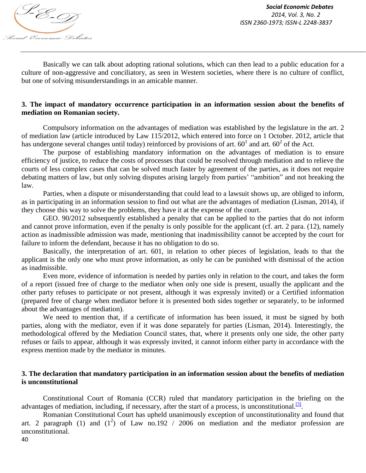S-E-T) Social Economic Debates

Basically we can talk about adopting rational solutions, which can then lead to a public education for a culture of non-aggressive and conciliatory, as seen in Western societies, where there is no culture of conflict, but one of solving misunderstandings in an amicable manner.

## **3. The impact of mandatory occurrence participation in an information session about the benefits of mediation on Romanian society.**

Compulsory information on the advantages of mediation was established by the legislature in the art. 2 of mediation law (article introduced by Law 115/2012, which entered into force on 1 October. 2012, article that has undergone several changes until today) reinforced by provisions of art.  $60^1$  and art.  $60^2$  of the Act.

The purpose of establishing mandatory information on the advantages of mediation is to ensure efficiency of justice, to reduce the costs of processes that could be resolved through mediation and to relieve the courts of less complex cases that can be solved much faster by agreement of the parties, as it does not require debating matters of law, but only solving disputes arising largely from parties' "ambition" and not breaking the law.

Parties, when a dispute or misunderstanding that could lead to a lawsuit shows up, are obliged to inform, as in participating in an information session to find out what are the advantages of mediation (Lisman, 2014), if they choose this way to solve the problems, they have it at the expense of the court.

GEO. 90/2012 subsequently established a penalty that can be applied to the parties that do not inform and cannot prove information, even if the penalty is only possible for the applicant (cf. art. 2 para. (12), namely action as inadmissible admission was made, mentioning that inadmissibility cannot be accepted by the court for failure to inform the defendant, because it has no obligation to do so.

Basically, the interpretation of art. 601, in relation to other pieces of legislation, leads to that the applicant is the only one who must prove information, as only he can be punished with dismissal of the action as inadmissible.

Even more, evidence of information is needed by parties only in relation to the court, and takes the form of a report (issued free of charge to the mediator when only one side is present, usually the applicant and the other party refuses to participate or not present, although it was expressly invited) or a Certified information (prepared free of charge when mediator before it is presented both sides together or separately, to be informed about the advantages of mediation).

We need to mention that, if a certificate of information has been issued, it must be signed by both parties, along with the mediator, even if it was done separately for parties (Lisman, 2014). Interestingly, the methodological offered by the Mediation Council states, that, where it presents only one side, the other party refuses or fails to appear, although it was expressly invited, it cannot inform either party in accordance with the express mention made by the mediator in minutes.

## **3. The declaration that mandatory participation in an information session about the benefits of mediation is unconstitutional**

Constitutional Court of Romania (CCR) ruled that mandatory participation in the briefing on the advantages of mediation, including, if necessary, after the start of a process, is unconstitutional. $^{[3]}$ .

Romanian Constitutional Court has upheld unanimously exception of unconstitutionality and found that art. 2 paragraph (1) and  $(1^2)$  of Law no.192 / 2006 on mediation and the mediator profession are unconstitutional.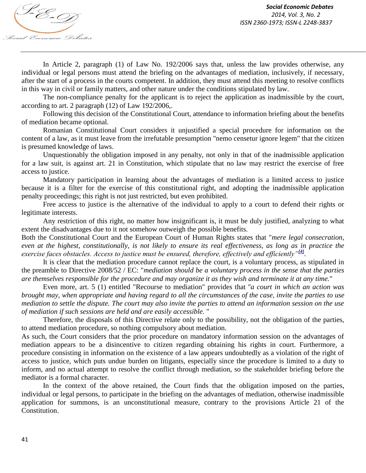S-E-D Social Economic Debates

In Article 2, paragraph (1) of Law No. 192/2006 says that, unless the law provides otherwise, any individual or legal persons must attend the briefing on the advantages of mediation, inclusively, if necessary, after the start of a process in the courts competent. In addition, they must attend this meeting to resolve conflicts in this way in civil or family matters, and other nature under the conditions stipulated by law.

The non-compliance penalty for the applicant is to reject the application as inadmissible by the court, according to art. 2 paragraph (12) of Law 192/2006,.

Following this decision of the Constitutional Court, attendance to information briefing about the benefits of mediation became optional.

Romanian Constitutional Court considers it unjustified a special procedure for information on the content of a law, as it must leave from the irrefutable presumption "nemo censetur ignore legem" that the citizen is presumed knowledge of laws.

Unquestionably the obligation imposed in any penalty, not only in that of the inadmissible application for a law suit, is against art. 21 in Constitution, which stipulate that no law may restrict the exercise of free access to justice.

Mandatory participation in learning about the advantages of mediation is a limited access to justice because it is a filter for the exercise of this constitutional right, and adopting the inadmissible application penalty proceedings; this right is not just restricted, but even prohibited.

Free access to justice is the alternative of the individual to apply to a court to defend their rights or legitimate interests.

Any restriction of this right, no matter how insignificant is, it must be duly justified, analyzing to what extent the disadvantages due to it not somehow outweigh the possible benefits.

Both the Constitutional Court and the European Court of Human Rights states that "*mere legal consecration, even at the highest, constitutionally, is not likely to ensure its real effectiveness, as long as in practice the exercise faces obstacles. Access to justice must be ensured, therefore, effectively and efficiently"[4]* .

It is clear that the mediation procedure cannot replace the court, is a voluntary process, as stipulated in the preamble to Directive 2008/52 / EC: "*mediation should be a voluntary process in the sense that the parties are themselves responsible for the procedure and may organize it as they wish and terminate it at any time.*"

Even more, art. 5 (1) entitled "Recourse to mediation" provides that *"a court in which an action was brought may, when appropriate and having regard to all the circumstances of the case, invite the parties to use mediation to settle the dispute. The court may also invite the parties to attend an information session on the use of mediation if such sessions are held and are easily accessible.* "

Therefore, the disposals of this Directive relate only to the possibility, not the obligation of the parties, to attend mediation procedure, so nothing compulsory about mediation.

As such, the Court considers that the prior procedure on mandatory information session on the advantages of mediation appears to be a disincentive to citizen regarding obtaining his rights in court. Furthermore, a procedure consisting in information on the existence of a law appears undoubtedly as a violation of the right of access to justice, which puts undue burden on litigants, especially since the procedure is limited to a duty to inform, and no actual attempt to resolve the conflict through mediation, so the stakeholder briefing before the mediator is a formal character.

In the context of the above retained, the Court finds that the obligation imposed on the parties, individual or legal persons, to participate in the briefing on the advantages of mediation, otherwise inadmissible application for summons, is an unconstitutional measure, contrary to the provisions Article 21 of the Constitution.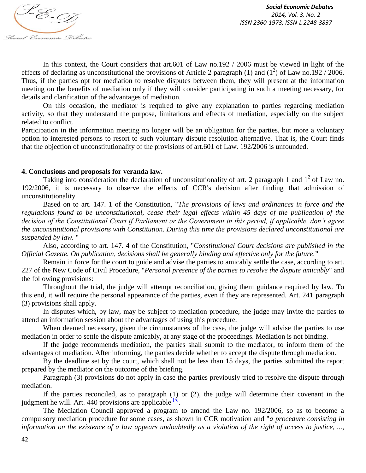S-E-T) Social Economic Debates

In this context, the Court considers that art.601 of Law no.192 / 2006 must be viewed in light of the effects of declaring as unconstitutional the provisions of Article 2 paragraph (1) and ( $1^2$ ) of Law no.192 / 2006. Thus, if the parties opt for mediation to resolve disputes between them, they will present at the information meeting on the benefits of mediation only if they will consider participating in such a meeting necessary, for details and clarification of the advantages of mediation.

On this occasion, the mediator is required to give any explanation to parties regarding mediation activity, so that they understand the purpose, limitations and effects of mediation, especially on the subject related to conflict.

Participation in the information meeting no longer will be an obligation for the parties, but more a voluntary option to interested persons to resort to such voluntary dispute resolution alternative. That is, the Court finds that the objection of unconstitutionality of the provisions of art.601 of Law. 192/2006 is unfounded.

### **4. Conclusions and proposals for veranda law.**

Taking into consideration the declaration of unconstitutionality of art. 2 paragraph 1 and  $1^2$  of Law no. 192/2006, it is necessary to observe the effects of CCR's decision after finding that admission of unconstitutionality.

Based on to art. 147. 1 of the Constitution, "*The provisions of laws and ordinances in force and the regulations found to be unconstitutional, cease their legal effects within 45 days of the publication of the decision of the Constitutional Court if Parliament or the Government in this period, if applicable, don't agree the unconstitutional provisions with Constitution. During this time the provisions declared unconstitutional are suspended by law.* "

Also, according to art. 147. 4 of the Constitution, "*Constitutional Court decisions are published in the Official Gazette. On publication, decisions shall be generally binding and effective only for the future*.**"**

Remain in force for the court to guide and advise the parties to amicably settle the case, according to art. 227 of the New Code of Civil Procedure, "*Personal presence of the parties to resolve the dispute amicably*" and the following provisions:

Throughout the trial, the judge will attempt reconciliation, giving them guidance required by law. To this end, it will require the personal appearance of the parties, even if they are represented. Art. 241 paragraph (3) provisions shall apply.

In disputes which, by law, may be subject to mediation procedure, the judge may invite the parties to attend an information session about the advantages of using this procedure.

When deemed necessary, given the circumstances of the case, the judge will advise the parties to use mediation in order to settle the dispute amicably, at any stage of the proceedings. Mediation is not binding.

If the judge recommends mediation, the parties shall submit to the mediator, to inform them of the advantages of mediation. After informing, the parties decide whether to accept the dispute through mediation.

By the deadline set by the court, which shall not be less than 15 days, the parties submitted the report prepared by the mediator on the outcome of the briefing.

Paragraph (3) provisions do not apply in case the parties previously tried to resolve the dispute through mediation.

If the parties reconciled, as to paragraph (1) or (2), the judge will determine their covenant in the judgment he will. Art. 440 provisions are applicable  $\frac{5}{5}$ .

The Mediation Council approved a program to amend the Law no. 192/2006, so as to become a compulsory mediation procedure for some cases, as shown in CCR motivation and "*a procedure consisting in information on the existence of a law appears undoubtedly as a violation of the right of access to justice, ...,*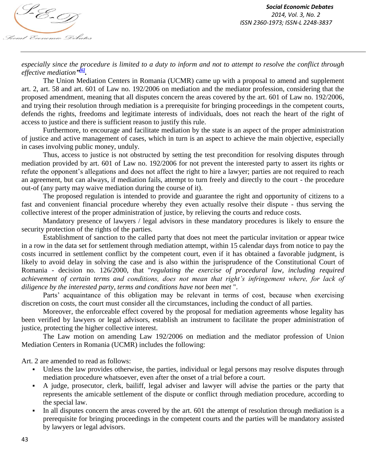

*especially since the procedure is limited to a duty to inform and not to attempt to resolve the conflict through effective mediation" [6] .*

The Union Mediation Centers in Romania (UCMR) came up with a proposal to amend and supplement art. 2, art. 58 and art. 601 of Law no. 192/2006 on mediation and the mediator profession, considering that the proposed amendment, meaning that all disputes concern the areas covered by the art. 601 of Law no. 192/2006, and trying their resolution through mediation is a prerequisite for bringing proceedings in the competent courts, defends the rights, freedoms and legitimate interests of individuals, does not reach the heart of the right of access to justice and there is sufficient reason to justify this rule.

Furthermore, to encourage and facilitate mediation by the state is an aspect of the proper administration of justice and active management of cases, which in turn is an aspect to achieve the main objective, especially in cases involving public money, unduly.

Thus, access to justice is not obstructed by setting the test precondition for resolving disputes through mediation provided by art. 601 of Law no. 192/2006 for not prevent the interested party to assert its rights or refute the opponent's allegations and does not affect the right to hire a lawyer; parties are not required to reach an agreement, but can always, if mediation fails, attempt to turn freely and directly to the court - the procedure out-of (any party may waive mediation during the course of it).

The proposed regulation is intended to provide and guarantee the right and opportunity of citizens to a fast and convenient financial procedure whereby they even actually resolve their dispute - thus serving the collective interest of the proper administration of justice, by relieving the courts and reduce costs.

Mandatory presence of lawyers / legal advisors in these mandatory procedures is likely to ensure the security protection of the rights of the parties.

Establishment of sanction to the called party that does not meet the particular invitation or appear twice in a row in the data set for settlement through mediation attempt, within 15 calendar days from notice to pay the costs incurred in settlement conflict by the competent court, even if it has obtained a favorable judgment, is likely to avoid delay in solving the case and is also within the jurisprudence of the Constitutional Court of Romania - decision no. 126/2000, that "*regulating the exercise of procedural law, including required achievement of certain terms and conditions, does not mean that right's infringement where, for lack of diligence by the interested party, terms and conditions have not been met* ".

Parts' acquaintance of this obligation may be relevant in terms of cost, because when exercising discretion on costs, the court must consider all the circumstances, including the conduct of all parties.

Moreover, the enforceable effect covered by the proposal for mediation agreements whose legality has been verified by lawyers or legal advisors, establish an instrument to facilitate the proper administration of justice, protecting the higher collective interest.

The Law motion on amending Law 192/2006 on mediation and the mediator profession of Union Mediation Centers in Romania (UCMR) includes the following:

Art. 2 are amended to read as follows:

- Unless the law provides otherwise, the parties, individual or legal persons may resolve disputes through mediation procedure whatsoever, even after the onset of a trial before a court.
- A judge, prosecutor, clerk, bailiff, legal adviser and lawyer will advise the parties or the party that represents the amicable settlement of the dispute or conflict through mediation procedure, according to the special law.
- In all disputes concern the areas covered by the art. 601 the attempt of resolution through mediation is a prerequisite for bringing proceedings in the competent courts and the parties will be mandatory assisted by lawyers or legal advisors.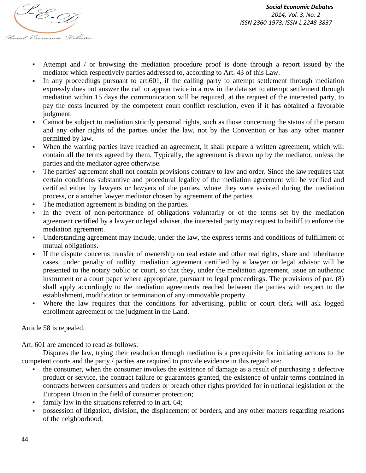

- Attempt and / or browsing the mediation procedure proof is done through a report issued by the mediator which respectively parties addressed to, according to Art. 43 of this Law.
- In any proceedings pursuant to art.601, if the calling party to attempt settlement through mediation expressly does not answer the call or appear twice in a row in the data set to attempt settlement through mediation within 15 days the communication will be required, at the request of the interested party, to pay the costs incurred by the competent court conflict resolution, even if it has obtained a favorable judgment.
- Cannot be subject to mediation strictly personal rights, such as those concerning the status of the person and any other rights of the parties under the law, not by the Convention or has any other manner permitted by law.
- When the warring parties have reached an agreement, it shall prepare a written agreement, which will contain all the terms agreed by them. Typically, the agreement is drawn up by the mediator, unless the parties and the mediator agree otherwise.
- The parties' agreement shall not contain provisions contrary to law and order. Since the law requires that certain conditions substantive and procedural legality of the mediation agreement will be verified and certified either by lawyers or lawyers of the parties, where they were assisted during the mediation process, or a another lawyer mediator chosen by agreement of the parties.
- The mediation agreement is binding on the parties.
- In the event of non-performance of obligations voluntarily or of the terms set by the mediation agreement certified by a lawyer or legal adviser, the interested party may request to bailiff to enforce the mediation agreement.
- Understanding agreement may include, under the law, the express terms and conditions of fulfillment of mutual obligations.
- If the dispute concerns transfer of ownership on real estate and other real rights, share and inheritance cases, under penalty of nullity, mediation agreement certified by a lawyer or legal advisor will be presented to the notary public or court, so that they, under the mediation agreement, issue an authentic instrument or a court paper where appropriate, pursuant to legal proceedings. The provisions of par. (8) shall apply accordingly to the mediation agreements reached between the parties with respect to the establishment, modification or termination of any immovable property.
- Where the law requires that the conditions for advertising, public or court clerk will ask logged enrollment agreement or the judgment in the Land.

# Article 58 is repealed.

Art. 601 are amended to read as follows:

Disputes the law, trying their resolution through mediation is a prerequisite for initiating actions to the competent courts and the party / parties are required to provide evidence in this regard are:

- the consumer, when the consumer invokes the existence of damage as a result of purchasing a defective product or service, the contract failure or guarantees granted, the existence of unfair terms contained in contracts between consumers and traders or breach other rights provided for in national legislation or the European Union in the field of consumer protection;
- family law in the situations referred to in art. 64;
- possession of litigation, division, the displacement of borders, and any other matters regarding relations of the neighborhood;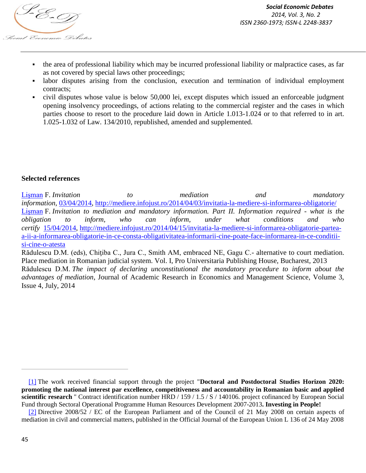

- the area of professional liability which may be incurred professional liability or malpractice cases, as far as not covered by special laws other proceedings;
- labor disputes arising from the conclusion, execution and termination of individual employment contracts;
- civil disputes whose value is below 50,000 lei, except disputes which issued an enforceable judgment opening insolvency proceedings, of actions relating to the commercial register and the cases in which parties choose to resort to the procedure laid down in Article 1.013-1.024 or to that referred to in art. 1.025-1.032 of Law. 134/2010, republished, amended and supplemented.

## **Selected references**

Lişman F. *Invitation to mediation and mandatory information,* 03/04/2014, http://mediere.infojust.ro/2014/04/03/invitatia-la-mediere-si-informarea-obligatorie/ Lişman F. *Invitation to mediation and mandatory information. Part II. Information required - what is the obligation to inform, who can inform, under what conditions and who certify* 15/04/2014, http://mediere.infojust.ro/2014/04/15/invitatia-la-mediere-si-informarea-obligatorie-parteaa-ii-a-informarea-obligatorie-in-ce-consta-obligativitatea-informarii-cine-poate-face-informarea-in-ce-conditiisi-cine-o-atesta

Rădulescu D.M. (eds), Chiţiba C., Jura C., Smith AM, embraced NE, Gagu C.- alternative to court mediation. Place mediation in Romanian judicial system. Vol. I, Pro Universitaria Publishing House, Bucharest, 2013 Rădulescu D.M. *The impact of declaring unconstitutional the mandatory procedure to inform about the advantages of mediation*, Journal of Academic Research in Economics and Management Science, Volume 3, Issue 4, July, 2014

<sup>[1]</sup> The work received financial support through the project "**Doctoral and Postdoctoral Studies Horizon 2020: promoting the national interest par excellence, competitiveness and accountability in Romanian basic and applied scientific research** " Contract identification number HRD / 159 / 1.5 / S / 140106. project cofinanced by European Social Fund through Sectoral Operational Programme Human Resources Development 2007-2013**. Investing in People!**

<sup>[2]</sup> Directive 2008/52 / EC of the European Parliament and of the Council of 21 May 2008 on certain aspects of mediation in civil and commercial matters, published in the Official Journal of the European Union L 136 of 24 May 2008